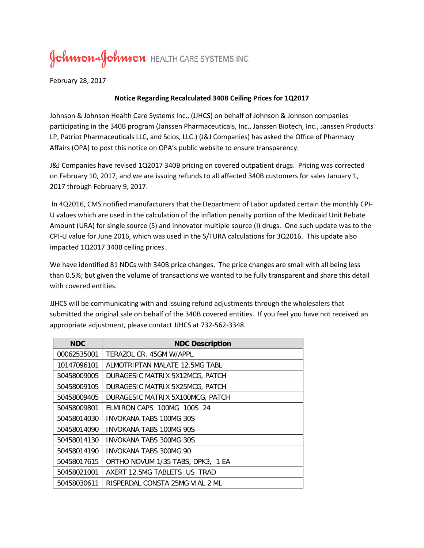## Johnson & Johnson HEALTH CARE SYSTEMS INC.

February 28, 2017

## **Notice Regarding Recalculated 340B Ceiling Prices for 1Q2017**

Johnson & Johnson Health Care Systems Inc., (JJHCS) on behalf of Johnson & Johnson companies participating in the 340B program (Janssen Pharmaceuticals, Inc., Janssen Biotech, Inc., Janssen Products LP, Patriot Pharmaceuticals LLC, and Scios, LLC.) (J&J Companies) has asked the Office of Pharmacy Affairs (OPA) to post this notice on OPA's public website to ensure transparency.

J&J Companies have revised 1Q2017 340B pricing on covered outpatient drugs. Pricing was corrected on February 10, 2017, and we are issuing refunds to all affected 340B customers for sales January 1, 2017 through February 9, 2017.

In 4Q2016, CMS notified manufacturers that the Department of Labor updated certain the monthly CPI-U values which are used in the calculation of the inflation penalty portion of the Medicaid Unit Rebate Amount (URA) for single source (S) and innovator multiple source (I) drugs. One such update was to the CPI-U value for June 2016, which was used in the S/I URA calculations for 3Q2016. This update also impacted 1Q2017 340B ceiling prices.

We have identified 81 NDCs with 340B price changes. The price changes are small with all being less than 0.5%; but given the volume of transactions we wanted to be fully transparent and share this detail with covered entities.

JJHCS will be communicating with and issuing refund adjustments through the wholesalers that submitted the original sale on behalf of the 340B covered entities. If you feel you have not received an appropriate adjustment, please contact JJHCS at 732-562-3348.

| <b>NDC</b>  | <b>NDC Description</b>            |
|-------------|-----------------------------------|
| 00062535001 | TERAZOL CR. 45GM W/APPL           |
| 10147096101 | AI MOTRIPTAN MAI ATF 12.5MG TABL  |
| 50458009005 | DURAGESIC MATRIX 5X12MCG, PATCH   |
| 50458009105 | DURAGESIC MATRIX 5X25MCG, PATCH   |
| 50458009405 | DURAGESIC MATRIX 5X100MCG, PATCH  |
| 50458009801 | ELMIRON CAPS 100MG 100S 24        |
| 50458014030 | INVOKANA TABS 100MG 30S           |
| 50458014090 | INVOKANA TABS 100MG 90S           |
| 50458014130 | INVOKANA TABS 300MG 30S           |
| 50458014190 | INVOKANA TABS 300MG 90            |
| 50458017615 | ORTHO NOVUM 1/35 TABS, DPK3, 1 EA |
| 50458021001 | AXERT 12.5MG TABLETS US TRAD      |
| 50458030611 | RISPERDAL CONSTA 25MG VIAL 2 ML   |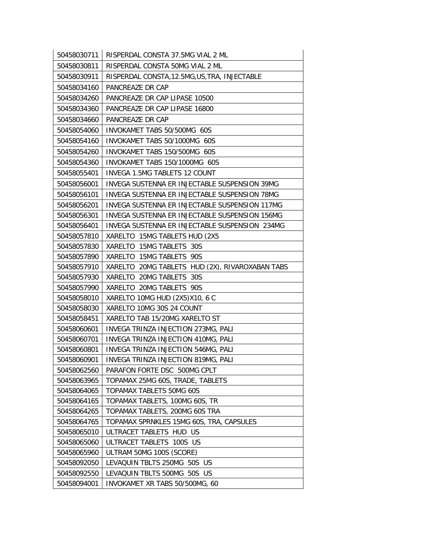| 50458030711 | RISPERDAL CONSTA 37.5MG VIAL 2 ML               |
|-------------|-------------------------------------------------|
| 50458030811 | RISPERDAL CONSTA 50MG VIAL 2 ML                 |
| 50458030911 | RISPERDAL CONSTA, 12.5MG, US, TRA, INJECTABLE   |
| 50458034160 | PANCREAZE DR CAP                                |
| 50458034260 | PANCREAZE DR CAP LIPASE 10500                   |
| 50458034360 | PANCREAZE DR CAP LIPASE 16800                   |
| 50458034660 | PANCREAZE DR CAP                                |
| 50458054060 | INVOKAMET TABS 50/500MG 60S                     |
| 50458054160 | INVOKAMET TABS 50/1000MG 60S                    |
| 50458054260 | INVOKAMET TABS 150/500MG 60S                    |
| 50458054360 | INVOKAMET TABS 150/1000MG 60S                   |
| 50458055401 | <b>INVEGA 1.5MG TABLETS 12 COUNT</b>            |
| 50458056001 | INVEGA SUSTENNA ER INJECTABLE SUSPENSION 39MG   |
| 50458056101 | INVEGA SUSTENNA ER INJECTABLE SUSPENSION 78MG   |
| 50458056201 | INVEGA SUSTENNA ER INJECTABLE SUSPENSION 117MG  |
| 50458056301 | INVEGA SUSTENNA ER INJECTABLE SUSPENSION 156MG  |
| 50458056401 | INVEGA SUSTENNA ER INJECTABLE SUSPENSION 234MG  |
| 50458057810 | XARELTO 15MG TABLETS HUD (2X5                   |
| 50458057830 | XARELTO 15MG TABLETS 30S                        |
| 50458057890 | XARELTO 15MG TABLETS 90S                        |
| 50458057910 | XARELTO 20MG TABLETS HUD (2X), RIVAROXABAN TABS |
| 50458057930 | XARELTO 20MG TABLETS 30S                        |
| 50458057990 | XARELTO 20MG TABLETS 90S                        |
| 50458058010 | XARELTO 10MG HUD (2X5)X10, 6 C                  |
| 50458058030 | XARELTO 10MG 30S 24 COUNT                       |
| 50458058451 | XARELTO TAB 15/20MG XARELTO ST                  |
| 50458060601 | INVEGA TRINZA INJECTION 273MG, PALI             |
| 50458060701 | INVEGA TRINZA INJECTION 410MG, PALI             |
| 50458060801 | INVEGA TRINZA INJECTION 546MG, PALI             |
| 50458060901 | INVEGA TRINZA INJECTION 819MG, PALI             |
| 50458062560 | PARAFON FORTE DSC 500MG CPLT                    |
| 50458063965 | TOPAMAX 25MG 60S, TRADE, TABLETS                |
| 50458064065 | TOPAMAX TABLETS 50MG 60S                        |
| 50458064165 | TOPAMAX TABLETS, 100MG 60S, TR                  |
| 50458064265 | TOPAMAX TABLETS, 200MG 60S TRA                  |
| 50458064765 | TOPAMAX SPRNKLES 15MG 60S, TRA, CAPSULES        |
| 50458065010 | ULTRACET TABLETS HUD US                         |
| 50458065060 | ULTRACET TABLETS 100S US                        |
| 50458065960 | ULTRAM 50MG 100S (SCORE)                        |
| 50458092050 | LEVAQUIN TBLTS 250MG 50S US                     |
| 50458092550 | LEVAQUIN TBLTS 500MG 50S US                     |
| 50458094001 | INVOKAMET XR TABS 50/500MG, 60                  |